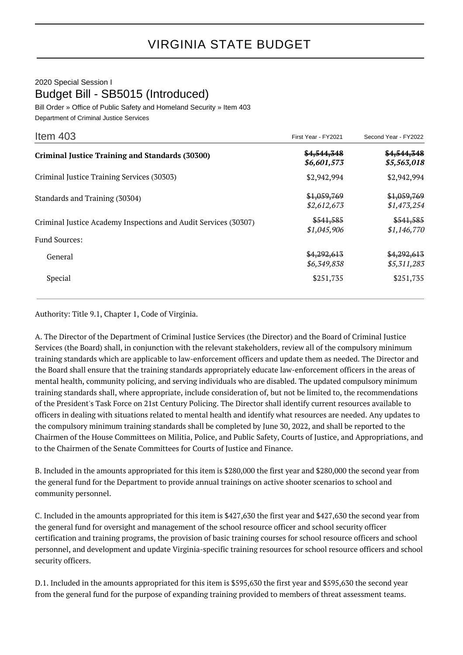## VIRGINIA STATE BUDGET

## 2020 Special Session I Budget Bill - SB5015 (Introduced)

Bill Order » Office of Public Safety and Homeland Security » Item 403 Department of Criminal Justice Services

| Item $403$                                                                              | First Year - FY2021        | Second Year - FY2022       |
|-----------------------------------------------------------------------------------------|----------------------------|----------------------------|
| <b>Criminal Justice Training and Standards (30300)</b>                                  | \$4,544,348<br>\$6,601,573 | \$4,544,348<br>\$5,563,018 |
| Criminal Justice Training Services (30303)                                              | \$2,942,994                | \$2,942,994                |
| Standards and Training (30304)                                                          | \$1,059,769<br>\$2,612,673 | \$1,059,769<br>\$1,473,254 |
| Criminal Justice Academy Inspections and Audit Services (30307)<br><b>Fund Sources:</b> | \$541,585<br>\$1,045,906   | \$541,585<br>\$1,146,770   |
| General                                                                                 | \$4,292,613<br>\$6,349,838 | \$4,292,613<br>\$5,311,283 |
| Special                                                                                 | \$251,735                  | \$251,735                  |

Authority: Title 9.1, Chapter 1, Code of Virginia.

A. The Director of the Department of Criminal Justice Services (the Director) and the Board of Criminal Justice Services (the Board) shall, in conjunction with the relevant stakeholders, review all of the compulsory minimum training standards which are applicable to law-enforcement officers and update them as needed. The Director and the Board shall ensure that the training standards appropriately educate law-enforcement officers in the areas of mental health, community policing, and serving individuals who are disabled. The updated compulsory minimum training standards shall, where appropriate, include consideration of, but not be limited to, the recommendations of the President's Task Force on 21st Century Policing. The Director shall identify current resources available to officers in dealing with situations related to mental health and identify what resources are needed. Any updates to the compulsory minimum training standards shall be completed by June 30, 2022, and shall be reported to the Chairmen of the House Committees on Militia, Police, and Public Safety, Courts of Justice, and Appropriations, and to the Chairmen of the Senate Committees for Courts of Justice and Finance.

B. Included in the amounts appropriated for this item is \$280,000 the first year and \$280,000 the second year from the general fund for the Department to provide annual trainings on active shooter scenarios to school and community personnel.

C. Included in the amounts appropriated for this item is \$427,630 the first year and \$427,630 the second year from the general fund for oversight and management of the school resource officer and school security officer certification and training programs, the provision of basic training courses for school resource officers and school personnel, and development and update Virginia-specific training resources for school resource officers and school security officers.

D.1. Included in the amounts appropriated for this item is \$595,630 the first year and \$595,630 the second year from the general fund for the purpose of expanding training provided to members of threat assessment teams.